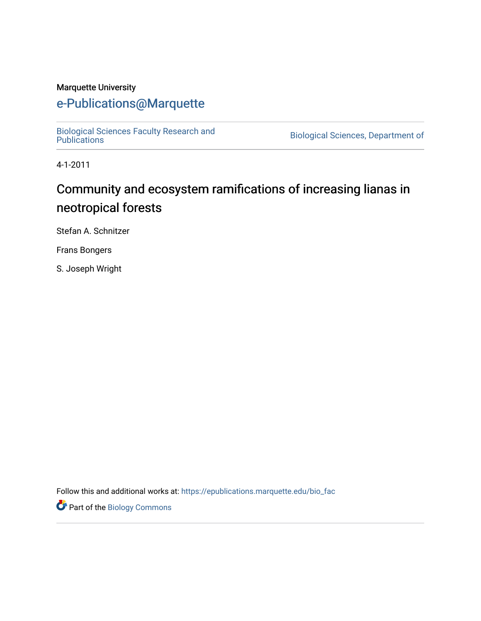#### Marquette University

## [e-Publications@Marquette](https://epublications.marquette.edu/)

[Biological Sciences Faculty Research and](https://epublications.marquette.edu/bio_fac) 

Biological Sciences, Department of

4-1-2011

# Community and ecosystem ramifications of increasing lianas in neotropical forests

Stefan A. Schnitzer

Frans Bongers

S. Joseph Wright

Follow this and additional works at: [https://epublications.marquette.edu/bio\\_fac](https://epublications.marquette.edu/bio_fac?utm_source=epublications.marquette.edu%2Fbio_fac%2F695&utm_medium=PDF&utm_campaign=PDFCoverPages) 

Part of the [Biology Commons](http://network.bepress.com/hgg/discipline/41?utm_source=epublications.marquette.edu%2Fbio_fac%2F695&utm_medium=PDF&utm_campaign=PDFCoverPages)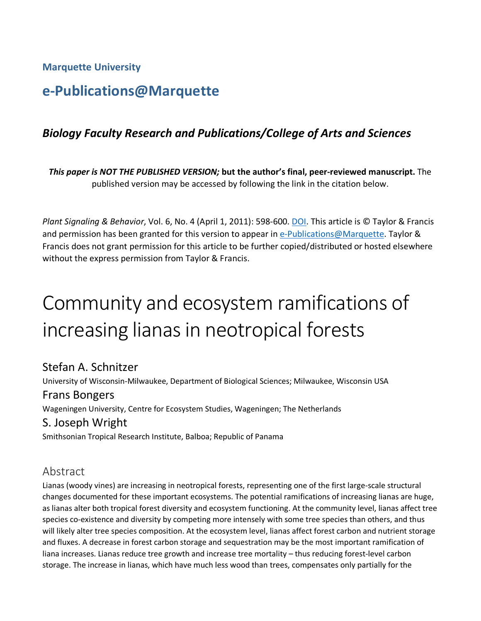**Marquette University**

## **e-Publications@Marquette**

#### *Biology Faculty Research and Publications/College of Arts and Sciences*

*This paper is NOT THE PUBLISHED VERSION;* **but the author's final, peer-reviewed manuscript.** The published version may be accessed by following the link in the citation below.

*Plant Signaling & Behavior*, Vol. 6, No. 4 (April 1, 2011): 598-600. DOI. This article is © Taylor & Francis and permission has been granted for this version to appear in [e-Publications@Marquette.](http://epublications.marquette.edu/) Taylor & Francis does not grant permission for this article to be further copied/distributed or hosted elsewhere without the express permission from Taylor & Francis.

# Community and ecosystem ramifications of increasing lianas in neotropical forests

#### Stefan A. Schnitzer

University of Wisconsin-Milwaukee, Department of Biological Sciences; Milwaukee, Wisconsin USA Frans Bongers Wageningen University, Centre for Ecosystem Studies, Wageningen; The Netherlands S. Joseph Wright

Smithsonian Tropical Research Institute, Balboa; Republic of Panama

#### Abstract

Lianas (woody vines) are increasing in neotropical forests, representing one of the first large-scale structural changes documented for these important ecosystems. The potential ramifications of increasing lianas are huge, as lianas alter both tropical forest diversity and ecosystem functioning. At the community level, lianas affect tree species co-existence and diversity by competing more intensely with some tree species than others, and thus will likely alter tree species composition. At the ecosystem level, lianas affect forest carbon and nutrient storage and fluxes. A decrease in forest carbon storage and sequestration may be the most important ramification of liana increases. Lianas reduce tree growth and increase tree mortality – thus reducing forest-level carbon storage. The increase in lianas, which have much less wood than trees, compensates only partially for the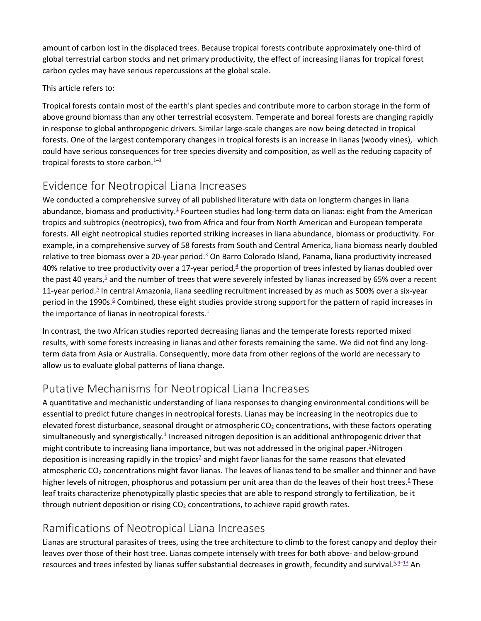amount of carbon lost in the displaced trees. Because tropical forests contribute approximately one-third of global terrestrial carbon stocks and net primary productivity, the effect of increasing lianas for tropical forest carbon cycles may have serious repercussions at the global scale.

This article refers to:

Tropical forests contain most of the earth's plant species and contribute more to carbon storage in the form of above ground biomass than any other terrestrial ecosystem. Temperate and boreal forests are changing rapidly in response to global anthropogenic drivers. Similar large-scale changes are now being detected in tropical forests. One of the largest contemporary changes in tropical forests is an increase in lianas (woody vines), $\frac{1}{2}$  which could have serious consequences for tree species diversity and composition, as well as the reducing capacity of tropical forests to store carbon. $1-3$  $1-3$ 

## Evidence for Neotropical Liana Increases

We conducted a comprehensive survey of all published literature with data on longterm changes in liana abundance, biomass and productivity.<sup>1</sup> Fourteen studies had long-term data on lianas: eight from the American tropics and subtropics (neotropics), two from Africa and four from North American and European temperate forests. All eight neotropical studies reported striking increases in liana abundance, biomass or productivity. For example, in a comprehensive survey of 58 forests from South and Central America, liana biomass nearly doubled relative to tree biomass over a 20-year period.<sup>3</sup> On Barro Colorado Island, Panama, liana productivity increased 40% relative to tree productivity over a 17-year period, $4$  the proportion of trees infested by lianas doubled over the past 40 years,<sup>5</sup> and the number of trees that were severely infested by lianas increased by 65% over a recent 11-year period[.5](https://www.ncbi.nlm.nih.gov/pmc/articles/PMC3142402/#R5) In central Amazonia, liana seedling recruitment increased by as much as 500% over a six-year period in the 1990s.<sup>6</sup> Combined, these eight studies provide strong support for the pattern of rapid increases in the importance of lianas in neotropical forests. $<sup>1</sup>$ </sup>

In contrast, the two African studies reported decreasing lianas and the temperate forests reported mixed results, with some forests increasing in lianas and other forests remaining the same. We did not find any longterm data from Asia or Australia. Consequently, more data from other regions of the world are necessary to allow us to evaluate global patterns of liana change.

#### Putative Mechanisms for Neotropical Liana Increases

A quantitative and mechanistic understanding of liana responses to changing environmental conditions will be essential to predict future changes in neotropical forests. Lianas may be increasing in the neotropics due to elevated forest disturbance, seasonal drought or atmospheric  $CO<sub>2</sub>$  concentrations, with these factors operating simultaneously and synergisticall[y.1](https://www.ncbi.nlm.nih.gov/pmc/articles/PMC3142402/#R1) Increased nitrogen deposition is an additional anthropogenic driver that might contribute to increasing liana importance, but was not addressed in the original paper.<sup>1</sup>Nitrogen deposition is increasing rapidly in the tropics<sup>7</sup> and might favor lianas for the same reasons that elevated atmospheric CO<sub>2</sub> concentrations might favor lianas. The leaves of lianas tend to be smaller and thinner and have higher levels of nitrogen, phosphorus and potassium per unit area than do the leaves of their host trees.<sup>8</sup> These leaf traits characterize phenotypically plastic species that are able to respond strongly to fertilization, be it through nutrient deposition or rising  $CO<sub>2</sub>$  concentrations, to achieve rapid growth rates.

#### Ramifications of Neotropical Liana Increases

Lianas are structural parasites of trees, using the tree architecture to climb to the forest canopy and deploy their leaves over those of their host tree. Lianas compete intensely with trees for both above- and below-ground resources and trees infested by lianas suffer substantial decreases in growth, fecundity and survival.<sup>5,9-[13](https://www.ncbi.nlm.nih.gov/pmc/articles/PMC3142402/#R13)</sup> An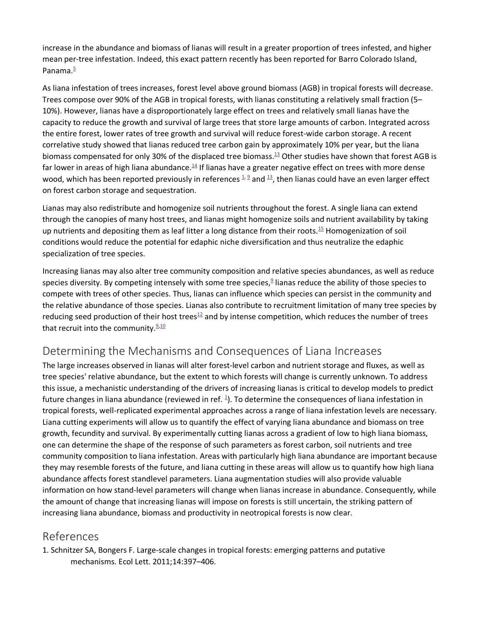increase in the abundance and biomass of lianas will result in a greater proportion of trees infested, and higher mean per-tree infestation. Indeed, this exact pattern recently has been reported for Barro Colorado Island, Panama.<sup>5</sup>

As liana infestation of trees increases, forest level above ground biomass (AGB) in tropical forests will decrease. Trees compose over 90% of the AGB in tropical forests, with lianas constituting a relatively small fraction (5– 10%). However, lianas have a disproportionately large effect on trees and relatively small lianas have the capacity to reduce the growth and survival of large trees that store large amounts of carbon. Integrated across the entire forest, lower rates of tree growth and survival will reduce forest-wide carbon storage. A recent correlative study showed that lianas reduced tree carbon gain by approximately 10% per year, but the liana biomass compensated for only 30% of the displaced tree biomass.<sup>13</sup> Other studies have shown that forest AGB is far lower in areas of high liana abundance. $14$  If lianas have a greater negative effect on trees with more dense wood, which has been reported previously in references  $1/2$  and  $1/3$ , then lianas could have an even larger effect on forest carbon storage and sequestration.

Lianas may also redistribute and homogenize soil nutrients throughout the forest. A single liana can extend through the canopies of many host trees, and lianas might homogenize soils and nutrient availability by taking up nutrients and depositing them as leaf litter a long distance from their roots.<sup>15</sup> Homogenization of soil conditions would reduce the potential for edaphic niche diversification and thus neutralize the edaphic specialization of tree species.

Increasing lianas may also alter tree community composition and relative species abundances, as well as reduce species diversity. By competing intensely with some tree species, $9$  lianas reduce the ability of those species to compete with trees of other species. Thus, lianas can influence which species can persist in the community and the relative abundance of those species. Lianas also contribute to recruitment limitation of many tree species by reducing seed production of their host trees<sup>12</sup> and by intense competition, which reduces the number of trees that recruit into the community. $9,10$  $9,10$ 

#### Determining the Mechanisms and Consequences of Liana Increases

The large increases observed in lianas will alter forest-level carbon and nutrient storage and fluxes, as well as tree species' relative abundance, but the extent to which forests will change is currently unknown. To address this issue, a mechanistic understanding of the drivers of increasing lianas is critical to develop models to predict future changes in liana abundance (reviewed in ref.  $^1$ [\)](https://www.ncbi.nlm.nih.gov/pmc/articles/PMC3142402/#R1). To determine the consequences of liana infestation in tropical forests, well-replicated experimental approaches across a range of liana infestation levels are necessary. Liana cutting experiments will allow us to quantify the effect of varying liana abundance and biomass on tree growth, fecundity and survival. By experimentally cutting lianas across a gradient of low to high liana biomass, one can determine the shape of the response of such parameters as forest carbon, soil nutrients and tree community composition to liana infestation. Areas with particularly high liana abundance are important because they may resemble forests of the future, and liana cutting in these areas will allow us to quantify how high liana abundance affects forest standlevel parameters. Liana augmentation studies will also provide valuable information on how stand-level parameters will change when lianas increase in abundance. Consequently, while the amount of change that increasing lianas will impose on forests is still uncertain, the striking pattern of increasing liana abundance, biomass and productivity in neotropical forests is now clear.

#### References

1. Schnitzer SA, Bongers F. Large-scale changes in tropical forests: emerging patterns and putative mechanisms. Ecol Lett. 2011;14:397–406.